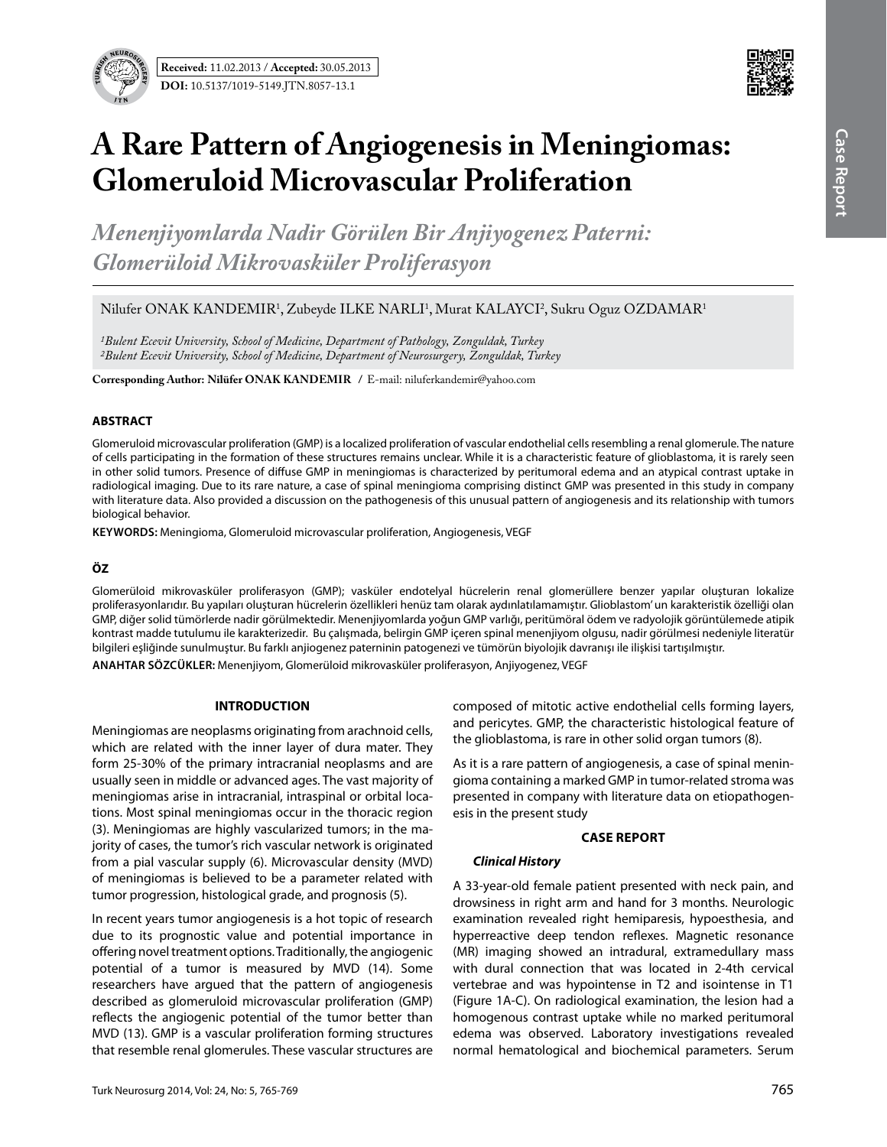



# **A Rare Pattern of Angiogenesis in Meningiomas: Glomeruloid Microvascular Proliferation**

*Menenjiyomlarda Nadir Görülen Bir Anjiyogenez Paterni: Glomerüloid Mikrovasküler Proliferasyon*

Nilufer ONAK KANDEMIR<sup>1</sup>, Zubeyde ILKE NARLI<sup>1</sup>, Murat KALAYCI<sup>2</sup>, Sukru Oguz OZDAMAR<sup>1</sup>

*1Bulent Ecevit University, School of Medicine, Department of Pathology, Zonguldak, Turkey 2Bulent Ecevit University, School of Medicine, Department of Neurosurgery, Zonguldak, Turkey*

**Corresponding Author: Nilüfer ONAK KANDEMIR / E-mail: niluferkandemir@yahoo.com** 

## **ABSTRACT**

Glomeruloid microvascular proliferation (GMP) is a localized proliferation of vascular endothelial cells resembling a renal glomerule. The nature of cells participating in the formation of these structures remains unclear. While it is a characteristic feature of glioblastoma, it is rarely seen in other solid tumors. Presence of diffuse GMP in meningiomas is characterized by peritumoral edema and an atypical contrast uptake in radiological imaging. Due to its rare nature, a case of spinal meningioma comprising distinct GMP was presented in this study in company with literature data. Also provided a discussion on the pathogenesis of this unusual pattern of angiogenesis and its relationship with tumors biological behavior.

**Keywords:** Meningioma, Glomeruloid microvascular proliferation, Angiogenesis, VEGF

# **ÖZ**

Glomerüloid mikrovasküler proliferasyon (GMP); vasküler endotelyal hücrelerin renal glomerüllere benzer yapılar oluşturan lokalize proliferasyonlarıdır. Bu yapıları oluşturan hücrelerin özellikleri henüz tam olarak aydınlatılamamıştır. Glioblastom' un karakteristik özelliği olan GMP, diğer solid tümörlerde nadir görülmektedir. Menenjiyomlarda yoğun GMP varlığı, peritümöral ödem ve radyolojik görüntülemede atipik kontrast madde tutulumu ile karakterizedir. Bu çalışmada, belirgin GMP içeren spinal menenjiyom olgusu, nadir görülmesi nedeniyle literatür bilgileri eşliğinde sunulmuştur. Bu farklı anjiogenez paterninin patogenezi ve tümörün biyolojik davranışı ile ilişkisi tartışılmıştır.

**ANAHTAR SÖZCÜKLER:** Menenjiyom, Glomerüloid mikrovasküler proliferasyon, Anjiyogenez, VEGF

## **INTRODUCTION**

Meningiomas are neoplasms originating from arachnoid cells, which are related with the inner layer of dura mater. They form 25-30% of the primary intracranial neoplasms and are usually seen in middle or advanced ages. The vast majority of meningiomas arise in intracranial, intraspinal or orbital locations. Most spinal meningiomas occur in the thoracic region (3). Meningiomas are highly vascularized tumors; in the majority of cases, the tumor's rich vascular network is originated from a pial vascular supply (6). Microvascular density (MVD) of meningiomas is believed to be a parameter related with tumor progression, histological grade, and prognosis (5).

In recent years tumor angiogenesis is a hot topic of research due to its prognostic value and potential importance in offering novel treatment options. Traditionally, the angiogenic potential of a tumor is measured by MVD (14). Some researchers have argued that the pattern of angiogenesis described as glomeruloid microvascular proliferation (GMP) reflects the angiogenic potential of the tumor better than MVD (13). GMP is a vascular proliferation forming structures that resemble renal glomerules. These vascular structures are composed of mitotic active endothelial cells forming layers, and pericytes. GMP, the characteristic histological feature of the glioblastoma, is rare in other solid organ tumors (8).

As it is a rare pattern of angiogenesis, a case of spinal meningioma containing a marked GMP in tumor-related stroma was presented in company with literature data on etiopathogenesis in the present study

#### **CASE report**

## *Clinical History*

A 33-year-old female patient presented with neck pain, and drowsiness in right arm and hand for 3 months. Neurologic examination revealed right hemiparesis, hypoesthesia, and hyperreactive deep tendon reflexes. Magnetic resonance (MR) imaging showed an intradural, extramedullary mass with dural connection that was located in 2-4th cervical vertebrae and was hypointense in T2 and isointense in T1 (Figure 1A-C). On radiological examination, the lesion had a homogenous contrast uptake while no marked peritumoral edema was observed. Laboratory investigations revealed normal hematological and biochemical parameters. Serum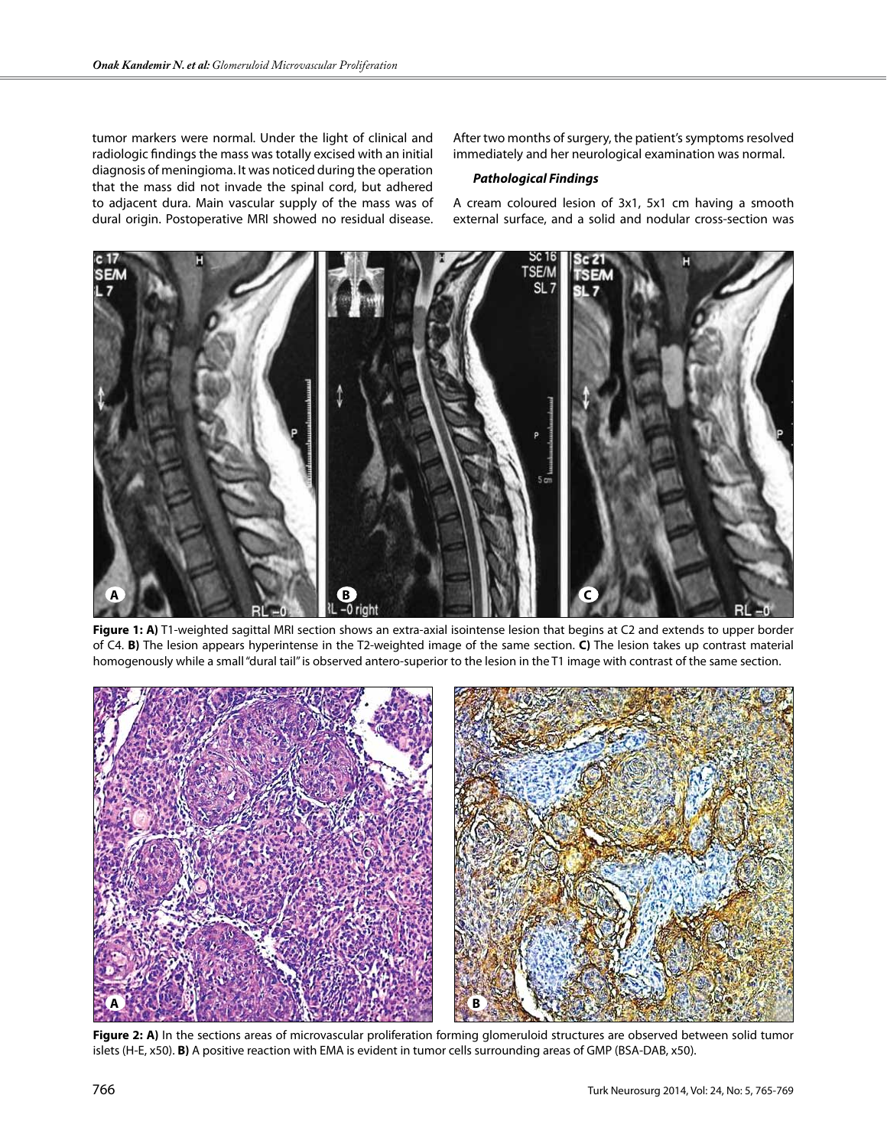tumor markers were normal. Under the light of clinical and radiologic findings the mass was totally excised with an initial diagnosis of meningioma. It was noticed during the operation that the mass did not invade the spinal cord, but adhered to adjacent dura. Main vascular supply of the mass was of dural origin. Postoperative MRI showed no residual disease.

After two months of surgery, the patient's symptoms resolved immediately and her neurological examination was normal.

## *Pathological Findings*

A cream coloured lesion of 3x1, 5x1 cm having a smooth external surface, and a solid and nodular cross-section was



**Figure 1: A)** T1-weighted sagittal MRI section shows an extra-axial isointense lesion that begins at C2 and extends to upper border of C4. **B)** The lesion appears hyperintense in the T2-weighted image of the same section. **C)** The lesion takes up contrast material homogenously while a small "dural tail" is observed antero-superior to the lesion in the T1 image with contrast of the same section.



**Figure 2: A)** In the sections areas of microvascular proliferation forming glomeruloid structures are observed between solid tumor islets (H-E, x50). **B)** A positive reaction with EMA is evident in tumor cells surrounding areas of GMP (BSA-DAB, x50).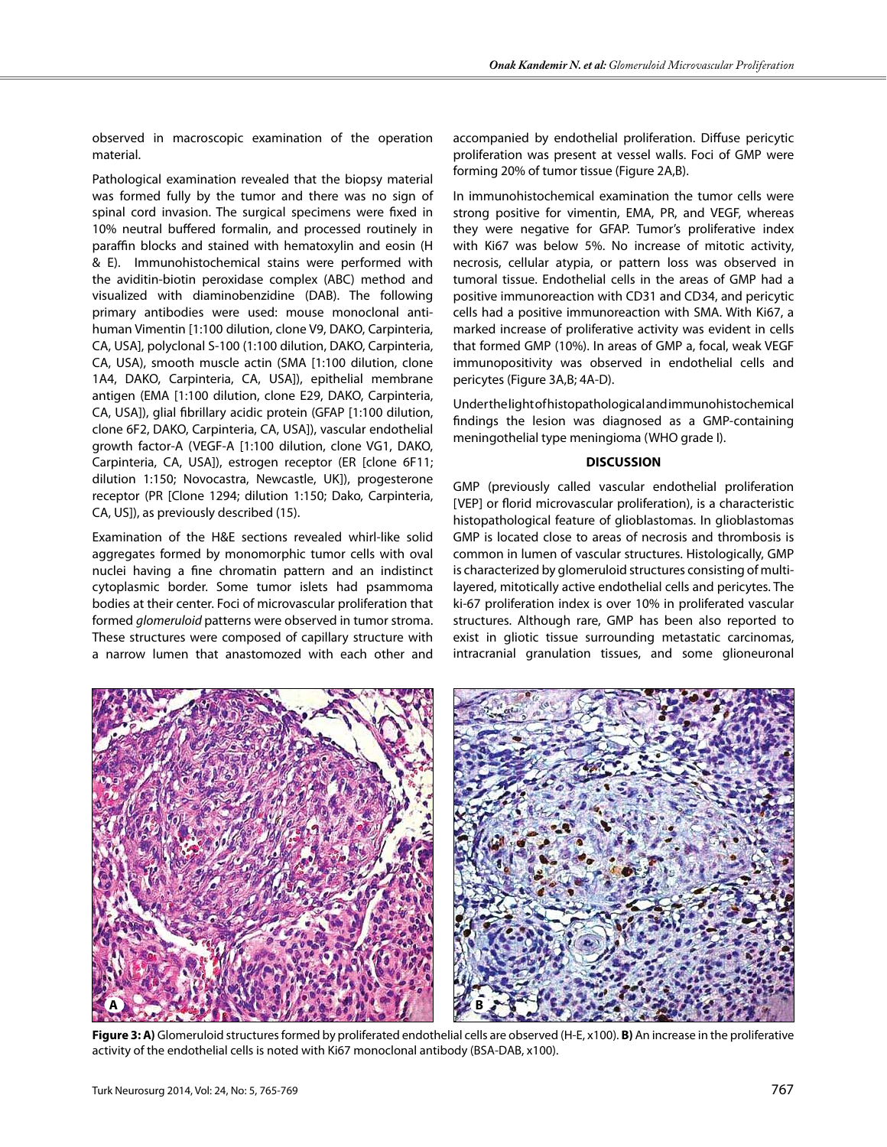observed in macroscopic examination of the operation material.

Pathological examination revealed that the biopsy material was formed fully by the tumor and there was no sign of spinal cord invasion. The surgical specimens were fixed in 10% neutral buffered formalin, and processed routinely in paraffin blocks and stained with hematoxylin and eosin (H & E). Immunohistochemical stains were performed with the aviditin-biotin peroxidase complex (ABC) method and visualized with diaminobenzidine (DAB). The following primary antibodies were used: mouse monoclonal antihuman Vimentin [1:100 dilution, clone V9, DAKO, Carpinteria, CA, USA], polyclonal S-100 (1:100 dilution, DAKO, Carpinteria, CA, USA), smooth muscle actin (SMA [1:100 dilution, clone 1A4, DAKO, Carpinteria, CA, USA]), epithelial membrane antigen (EMA [1:100 dilution, clone E29, DAKO, Carpinteria, CA, USA]), glial fibrillary acidic protein (GFAP [1:100 dilution, clone 6F2, DAKO, Carpinteria, CA, USA]), vascular endothelial growth factor-A (VEGF-A [1:100 dilution, clone VG1, DAKO, Carpinteria, CA, USA]), estrogen receptor (ER [clone 6F11; dilution 1:150; Novocastra, Newcastle, UK]), progesterone receptor (PR [Clone 1294; dilution 1:150; Dako, Carpinteria, CA, US]), as previously described (15).

Examination of the H&E sections revealed whirl-like solid aggregates formed by monomorphic tumor cells with oval nuclei having a fine chromatin pattern and an indistinct cytoplasmic border. Some tumor islets had psammoma bodies at their center. Foci of microvascular proliferation that formed *glomeruloid* patterns were observed in tumor stroma. These structures were composed of capillary structure with a narrow lumen that anastomozed with each other and

accompanied by endothelial proliferation. Diffuse pericytic proliferation was present at vessel walls. Foci of GMP were forming 20% of tumor tissue (Figure 2A,B).

In immunohistochemical examination the tumor cells were strong positive for vimentin, EMA, PR, and VEGF, whereas they were negative for GFAP. Tumor's proliferative index with Ki67 was below 5%. No increase of mitotic activity, necrosis, cellular atypia, or pattern loss was observed in tumoral tissue. Endothelial cells in the areas of GMP had a positive immunoreaction with CD31 and CD34, and pericytic cells had a positive immunoreaction with SMA. With Ki67, a marked increase of proliferative activity was evident in cells that formed GMP (10%). In areas of GMP a, focal, weak VEGF immunopositivity was observed in endothelial cells and pericytes (Figure 3A,B; 4A-D).

Under the light of histopathological and immunohistochemical findings the lesion was diagnosed as a GMP-containing meningothelial type meningioma (WHO grade I).

## **DISCUSSION**

GMP (previously called vascular endothelial proliferation [VEP] or florid microvascular proliferation), is a characteristic histopathological feature of glioblastomas. In glioblastomas GMP is located close to areas of necrosis and thrombosis is common in lumen of vascular structures. Histologically, GMP is characterized by glomeruloid structures consisting of multilayered, mitotically active endothelial cells and pericytes. The ki-67 proliferation index is over 10% in proliferated vascular structures. Although rare, GMP has been also reported to exist in gliotic tissue surrounding metastatic carcinomas, intracranial granulation tissues, and some glioneuronal



**Figure 3: A)** Glomeruloid structures formed by proliferated endothelial cells are observed (H-E, x100). **B)** An increase in the proliferative activity of the endothelial cells is noted with Ki67 monoclonal antibody (BSA-DAB, x100).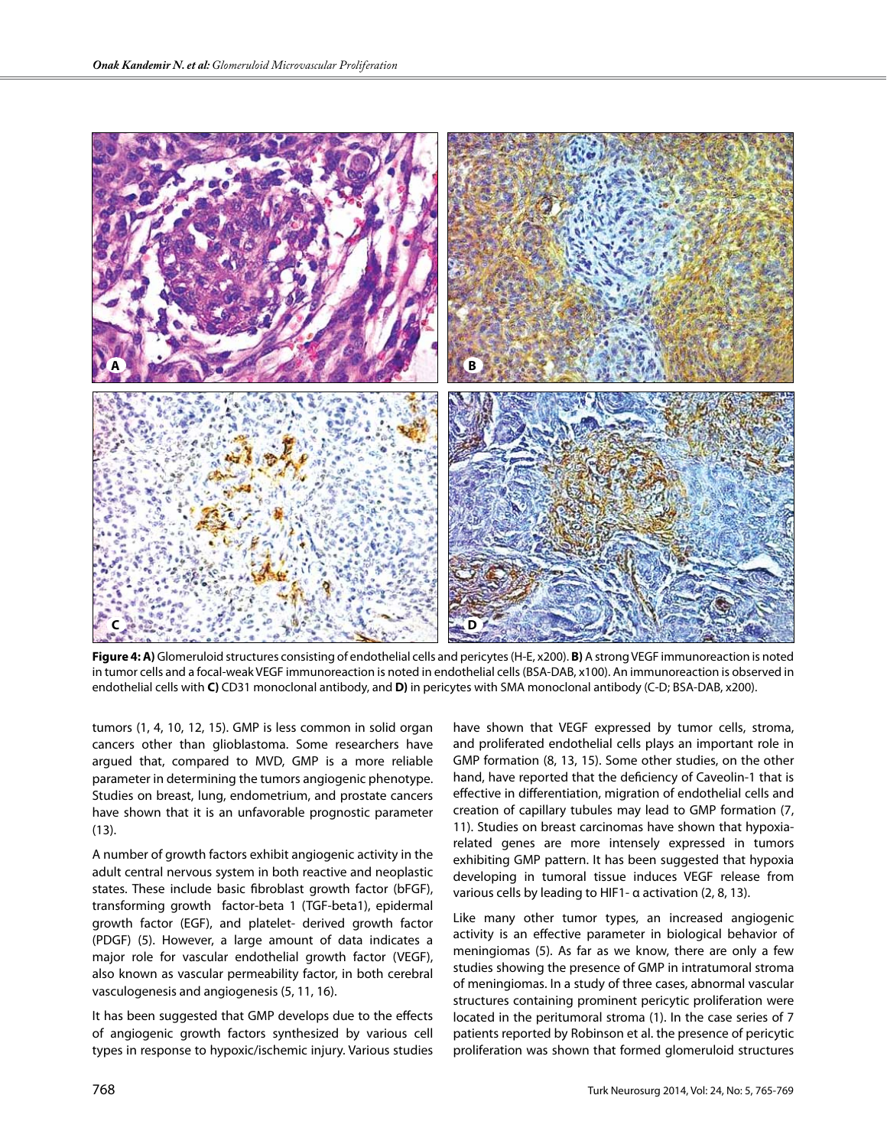

**Figure 4: A)** Glomeruloid structures consisting of endothelial cells and pericytes (H-E, x200). **B)** A strong VEGF immunoreaction is noted in tumor cells and a focal-weak VEGF immunoreaction is noted in endothelial cells (BSA-DAB, x100). An immunoreaction is observed in endothelial cells with **C)** CD31 monoclonal antibody, and **D)** in pericytes with SMA monoclonal antibody (C-D; BSA-DAB, x200).

tumors (1, 4, 10, 12, 15). GMP is less common in solid organ cancers other than glioblastoma. Some researchers have argued that, compared to MVD, GMP is a more reliable parameter in determining the tumors angiogenic phenotype. Studies on breast, lung, endometrium, and prostate cancers have shown that it is an unfavorable prognostic parameter (13).

A number of growth factors exhibit angiogenic activity in the adult central nervous system in both reactive and neoplastic states. These include basic fibroblast growth factor (bFGF), transforming growth factor-beta 1 (TGF-beta1), epidermal growth factor (EGF), and platelet- derived growth factor (PDGF) (5). However, a large amount of data indicates a major role for vascular endothelial growth factor (VEGF), also known as vascular permeability factor, in both cerebral vasculogenesis and angiogenesis (5, 11, 16).

It has been suggested that GMP develops due to the effects of angiogenic growth factors synthesized by various cell types in response to hypoxic/ischemic injury. Various studies have shown that VEGF expressed by tumor cells, stroma, and proliferated endothelial cells plays an important role in GMP formation (8, 13, 15). Some other studies, on the other hand, have reported that the deficiency of Caveolin-1 that is effective in differentiation, migration of endothelial cells and creation of capillary tubules may lead to GMP formation (7, 11). Studies on breast carcinomas have shown that hypoxiarelated genes are more intensely expressed in tumors exhibiting GMP pattern. It has been suggested that hypoxia developing in tumoral tissue induces VEGF release from various cells by leading to HIF1- α activation (2, 8, 13).

Like many other tumor types, an increased angiogenic activity is an effective parameter in biological behavior of meningiomas (5). As far as we know, there are only a few studies showing the presence of GMP in intratumoral stroma of meningiomas. In a study of three cases, abnormal vascular structures containing prominent pericytic proliferation were located in the peritumoral stroma (1). In the case series of 7 patients reported by Robinson et al. the presence of pericytic proliferation was shown that formed glomeruloid structures